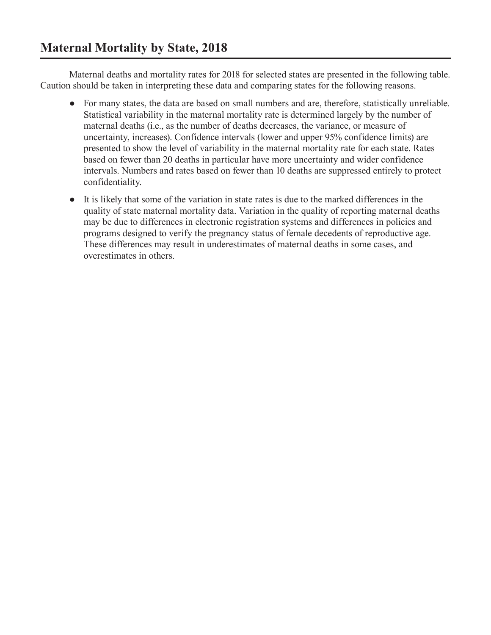Maternal deaths and mortality rates for 2018 for selected states are presented in the following table. Caution should be taken in interpreting these data and comparing states for the following reasons.

- ● For many states, the data are based on small numbers and are, therefore, statistically unreliable. Statistical variability in the maternal mortality rate is determined largely by the number of maternal deaths (i.e., as the number of deaths decreases, the variance, or measure of uncertainty, increases). Confidence intervals (lower and upper 95% confidence limits) are presented to show the level of variability in the maternal mortality rate for each state. Rates based on fewer than 20 deaths in particular have more uncertainty and wider confidence intervals. Numbers and rates based on fewer than 10 deaths are suppressed entirely to protect confidentiality.
- It is likely that some of the variation in state rates is due to the marked differences in the quality of state maternal mortality data. Variation in the quality of reporting maternal deaths may be due to differences in electronic registration systems and differences in policies and programs designed to verify the pregnancy status of female decedents of reproductive age. These differences may result in underestimates of maternal deaths in some cases, and overestimates in others.